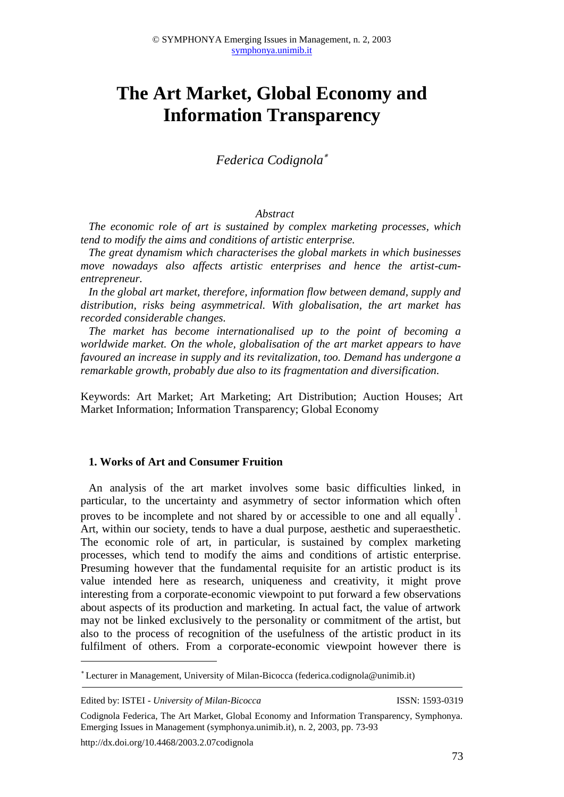# **The Art Market, Global Economy and Information Transparency**

## *Federica Codignola*

#### *Abstract*

*The economic role of art is sustained by complex marketing processes, which tend to modify the aims and conditions of artistic enterprise.*

*The great dynamism which characterises the global markets in which businesses move nowadays also affects artistic enterprises and hence the artist-cumentrepreneur.*

*In the global art market, therefore, information flow between demand, supply and distribution, risks being asymmetrical. With globalisation, the art market has recorded considerable changes.*

*The market has become internationalised up to the point of becoming a worldwide market. On the whole, globalisation of the art market appears to have favoured an increase in supply and its revitalization, too. Demand has undergone a remarkable growth, probably due also to its fragmentation and diversification.*

Keywords: Art Market; Art Marketing; Art Distribution; Auction Houses; Art Market Information; Information Transparency; Global Economy

#### **1. Works of Art and Consumer Fruition**

An analysis of the art market involves some basic difficulties linked, in particular, to the uncertainty and asymmetry of sector information which often proves to be incomplete and not shared by or accessible to one and all equally  $\frac{1}{1}$ . Art, within our society, tends to have a dual purpose, aesthetic and superaesthetic. The economic role of art, in particular, is sustained by complex marketing processes, which tend to modify the aims and conditions of artistic enterprise. Presuming however that the fundamental requisite for an artistic product is its value intended here as research, uniqueness and creativity, it might prove interesting from a corporate-economic viewpoint to put forward a few observations about aspects of its production and marketing. In actual fact, the value of artwork may not be linked exclusively to the personality or commitment of the artist, but also to the process of recognition of the usefulness of the artistic product in its fulfilment of others. From a corporate-economic viewpoint however there is

Lecturer in Management, University of Milan-Bicocca (federica.codignola@unimib.it)

Edited by: ISTEI - *University of Milan-Bicocca* ISSN: 1593-0319

1

http://dx.doi.org/10.4468/2003.2.07codignola

Codignola Federica, The Art Market, Global Economy and Information Transparency, Symphonya. Emerging Issues in Management (symphonya.unimib.it), n. 2, 2003, pp. 73-93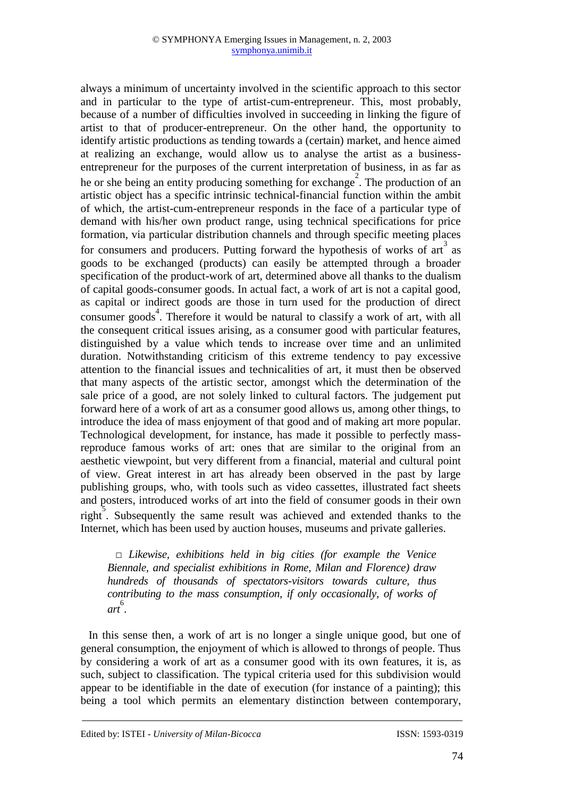always a minimum of uncertainty involved in the scientific approach to this sector and in particular to the type of artist-cum-entrepreneur. This, most probably, because of a number of difficulties involved in succeeding in linking the figure of artist to that of producer-entrepreneur. On the other hand, the opportunity to identify artistic productions as tending towards a (certain) market, and hence aimed at realizing an exchange, would allow us to analyse the artist as a businessentrepreneur for the purposes of the current interpretation of business, in as far as he or she being an entity producing something for exchange<sup>2</sup>. The production of an artistic object has a specific intrinsic technical-financial function within the ambit of which, the artist-cum-entrepreneur responds in the face of a particular type of demand with his/her own product range, using technical specifications for price formation, via particular distribution channels and through specific meeting places for consumers and producers. Putting forward the hypothesis of works of  $ar<sup>3</sup>$  as goods to be exchanged (products) can easily be attempted through a broader specification of the product-work of art, determined above all thanks to the dualism of capital goods-consumer goods. In actual fact, a work of art is not a capital good, as capital or indirect goods are those in turn used for the production of direct consumer goods<sup>4</sup>. Therefore it would be natural to classify a work of art, with all the consequent critical issues arising, as a consumer good with particular features, distinguished by a value which tends to increase over time and an unlimited duration. Notwithstanding criticism of this extreme tendency to pay excessive attention to the financial issues and technicalities of art, it must then be observed that many aspects of the artistic sector, amongst which the determination of the sale price of a good, are not solely linked to cultural factors. The judgement put forward here of a work of art as a consumer good allows us, among other things, to introduce the idea of mass enjoyment of that good and of making art more popular. Technological development, for instance, has made it possible to perfectly massreproduce famous works of art: ones that are similar to the original from an aesthetic viewpoint, but very different from a financial, material and cultural point of view. Great interest in art has already been observed in the past by large publishing groups, who, with tools such as video cassettes, illustrated fact sheets and posters, introduced works of art into the field of consumer goods in their own right. Subsequently the same result was achieved and extended thanks to the Internet, which has been used by auction houses, museums and private galleries.

□ *Likewise, exhibitions held in big cities (for example the Venice Biennale, and specialist exhibitions in Rome, Milan and Florence) draw hundreds of thousands of spectators-visitors towards culture, thus contributing to the mass consumption, if only occasionally, of works of art* 6 .

In this sense then, a work of art is no longer a single unique good, but one of general consumption, the enjoyment of which is allowed to throngs of people. Thus by considering a work of art as a consumer good with its own features, it is, as such, subject to classification. The typical criteria used for this subdivision would appear to be identifiable in the date of execution (for instance of a painting); this being a tool which permits an elementary distinction between contemporary,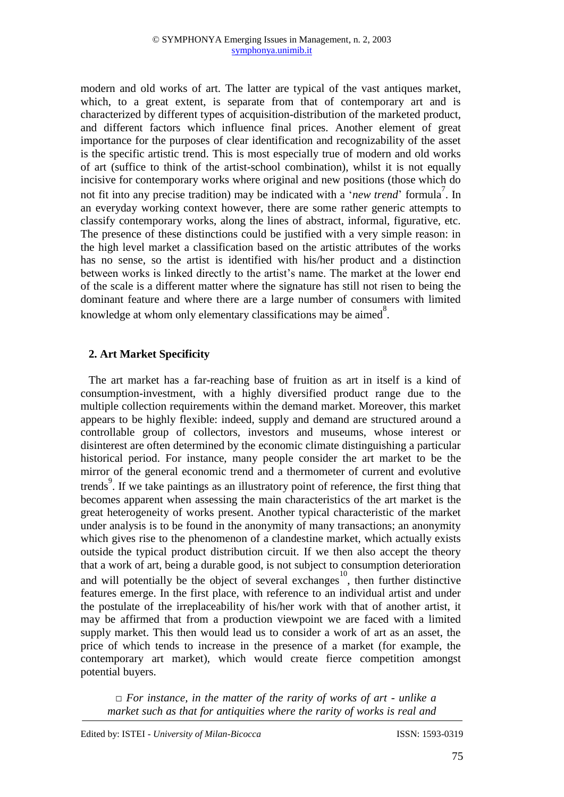modern and old works of art. The latter are typical of the vast antiques market, which, to a great extent, is separate from that of contemporary art and is characterized by different types of acquisition-distribution of the marketed product, and different factors which influence final prices. Another element of great importance for the purposes of clear identification and recognizability of the asset is the specific artistic trend. This is most especially true of modern and old works of art (suffice to think of the artist-school combination), whilst it is not equally incisive for contemporary works where original and new positions (those which do not fit into any precise tradition) may be indicated with a '*new trend*' formula<sup>7</sup>. In an everyday working context however, there are some rather generic attempts to classify contemporary works, along the lines of abstract, informal, figurative, etc. The presence of these distinctions could be justified with a very simple reason: in the high level market a classification based on the artistic attributes of the works has no sense, so the artist is identified with his/her product and a distinction between works is linked directly to the artist's name. The market at the lower end of the scale is a different matter where the signature has still not risen to being the dominant feature and where there are a large number of consumers with limited knowledge at whom only elementary classifications may be aimed.

#### **2. Art Market Specificity**

The art market has a far-reaching base of fruition as art in itself is a kind of consumption-investment, with a highly diversified product range due to the multiple collection requirements within the demand market. Moreover, this market appears to be highly flexible: indeed, supply and demand are structured around a controllable group of collectors, investors and museums, whose interest or disinterest are often determined by the economic climate distinguishing a particular historical period. For instance, many people consider the art market to be the mirror of the general economic trend and a thermometer of current and evolutive trends<sup>9</sup>. If we take paintings as an illustratory point of reference, the first thing that becomes apparent when assessing the main characteristics of the art market is the great heterogeneity of works present. Another typical characteristic of the market under analysis is to be found in the anonymity of many transactions; an anonymity which gives rise to the phenomenon of a clandestine market, which actually exists outside the typical product distribution circuit. If we then also accept the theory that a work of art, being a durable good, is not subject to consumption deterioration and will potentially be the object of several exchanges<sup>10</sup>, then further distinctive features emerge. In the first place, with reference to an individual artist and under the postulate of the irreplaceability of his/her work with that of another artist, it may be affirmed that from a production viewpoint we are faced with a limited supply market. This then would lead us to consider a work of art as an asset, the price of which tends to increase in the presence of a market (for example, the contemporary art market), which would create fierce competition amongst potential buyers.

*□ For instance, in the matter of the rarity of works of art - unlike a market such as that for antiquities where the rarity of works is real and*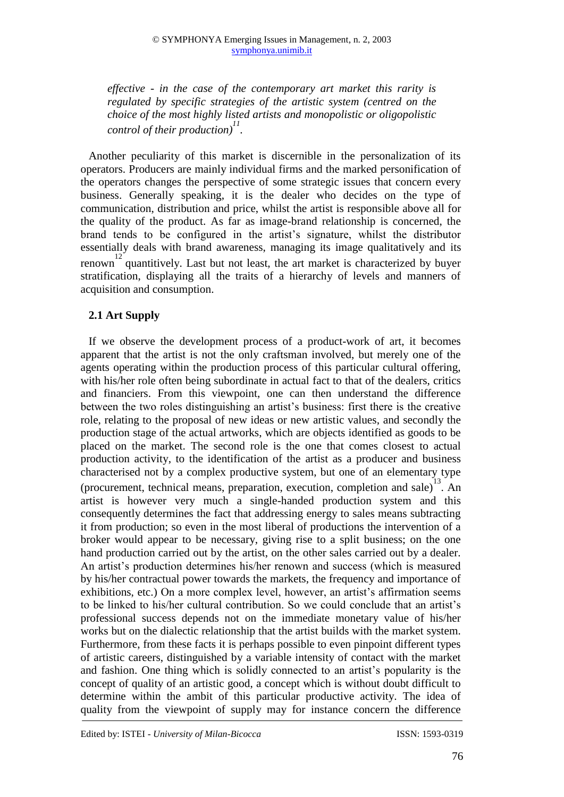*effective - in the case of the contemporary art market this rarity is regulated by specific strategies of the artistic system (centred on the choice of the most highly listed artists and monopolistic or oligopolistic control of their production) 11 .*

Another peculiarity of this market is discernible in the personalization of its operators. Producers are mainly individual firms and the marked personification of the operators changes the perspective of some strategic issues that concern every business. Generally speaking, it is the dealer who decides on the type of communication, distribution and price, whilst the artist is responsible above all for the quality of the product. As far as image-brand relationship is concerned, the brand tends to be configured in the artist's signature, whilst the distributor essentially deals with brand awareness, managing its image qualitatively and its  $12$  quantitively. Last but not least, the art market is characterized by buyer stratification, displaying all the traits of a hierarchy of levels and manners of acquisition and consumption.

### **2.1 Art Supply**

If we observe the development process of a product-work of art, it becomes apparent that the artist is not the only craftsman involved, but merely one of the agents operating within the production process of this particular cultural offering, with his/her role often being subordinate in actual fact to that of the dealers, critics and financiers. From this viewpoint, one can then understand the difference between the two roles distinguishing an artist's business: first there is the creative role, relating to the proposal of new ideas or new artistic values, and secondly the production stage of the actual artworks, which are objects identified as goods to be placed on the market. The second role is the one that comes closest to actual production activity, to the identification of the artist as a producer and business characterised not by a complex productive system, but one of an elementary type (procurement, technical means, preparation, execution, completion and sale)<sup>13</sup>. An artist is however very much a single-handed production system and this consequently determines the fact that addressing energy to sales means subtracting it from production; so even in the most liberal of productions the intervention of a broker would appear to be necessary, giving rise to a split business; on the one hand production carried out by the artist, on the other sales carried out by a dealer. An artist's production determines his/her renown and success (which is measured by his/her contractual power towards the markets, the frequency and importance of exhibitions, etc.) On a more complex level, however, an artist's affirmation seems to be linked to his/her cultural contribution. So we could conclude that an artist's professional success depends not on the immediate monetary value of his/her works but on the dialectic relationship that the artist builds with the market system. Furthermore, from these facts it is perhaps possible to even pinpoint different types of artistic careers, distinguished by a variable intensity of contact with the market and fashion. One thing which is solidly connected to an artist's popularity is the concept of quality of an artistic good, a concept which is without doubt difficult to determine within the ambit of this particular productive activity. The idea of quality from the viewpoint of supply may for instance concern the difference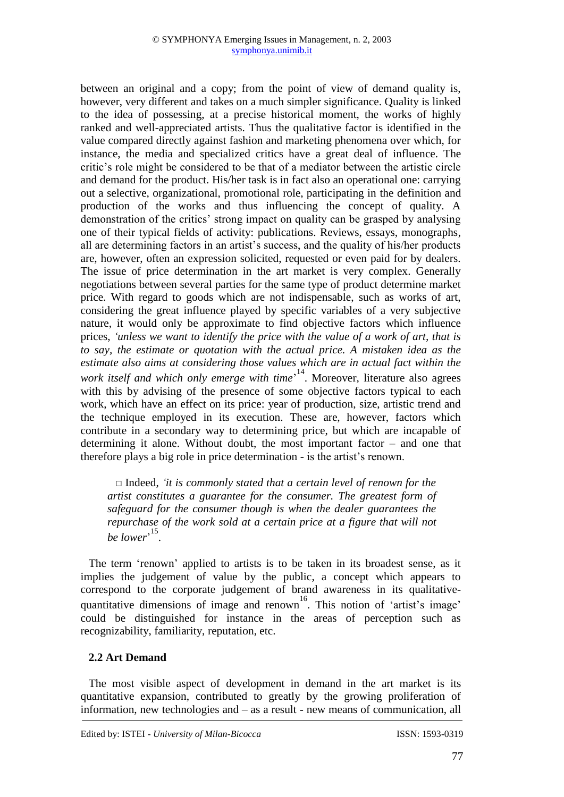between an original and a copy; from the point of view of demand quality is, however, very different and takes on a much simpler significance. Quality is linked to the idea of possessing, at a precise historical moment, the works of highly ranked and well-appreciated artists. Thus the qualitative factor is identified in the value compared directly against fashion and marketing phenomena over which, for instance, the media and specialized critics have a great deal of influence. The critic's role might be considered to be that of a mediator between the artistic circle and demand for the product. His/her task is in fact also an operational one: carrying out a selective, organizational, promotional role, participating in the definition and production of the works and thus influencing the concept of quality. A demonstration of the critics' strong impact on quality can be grasped by analysing one of their typical fields of activity: publications. Reviews, essays, monographs, all are determining factors in an artist's success, and the quality of his/her products are, however, often an expression solicited, requested or even paid for by dealers. The issue of price determination in the art market is very complex. Generally negotiations between several parties for the same type of product determine market price. With regard to goods which are not indispensable, such as works of art, considering the great influence played by specific variables of a very subjective nature, it would only be approximate to find objective factors which influence prices, *'unless we want to identify the price with the value of a work of art, that is to say, the estimate or quotation with the actual price. A mistaken idea as the estimate also aims at considering those values which are in actual fact within the*  work itself and which only emerge with time<sup>, 14</sup>. Moreover, literature also agrees with this by advising of the presence of some objective factors typical to each work, which have an effect on its price: year of production, size, artistic trend and the technique employed in its execution. These are, however, factors which contribute in a secondary way to determining price, but which are incapable of determining it alone. Without doubt, the most important factor – and one that therefore plays a big role in price determination - is the artist's renown.

□ Indeed, *'it is commonly stated that a certain level of renown for the artist constitutes a guarantee for the consumer. The greatest form of safeguard for the consumer though is when the dealer guarantees the repurchase of the work sold at a certain price at a figure that will not be lower*<sup>, 15</sup>.

The term 'renown' applied to artists is to be taken in its broadest sense, as it implies the judgement of value by the public, a concept which appears to correspond to the corporate judgement of brand awareness in its qualitativequantitative dimensions of image and renown<sup>16</sup>. This notion of 'artist's image' could be distinguished for instance in the areas of perception such as recognizability, familiarity, reputation, etc.

#### **2.2 Art Demand**

The most visible aspect of development in demand in the art market is its quantitative expansion, contributed to greatly by the growing proliferation of information, new technologies and – as a result - new means of communication, all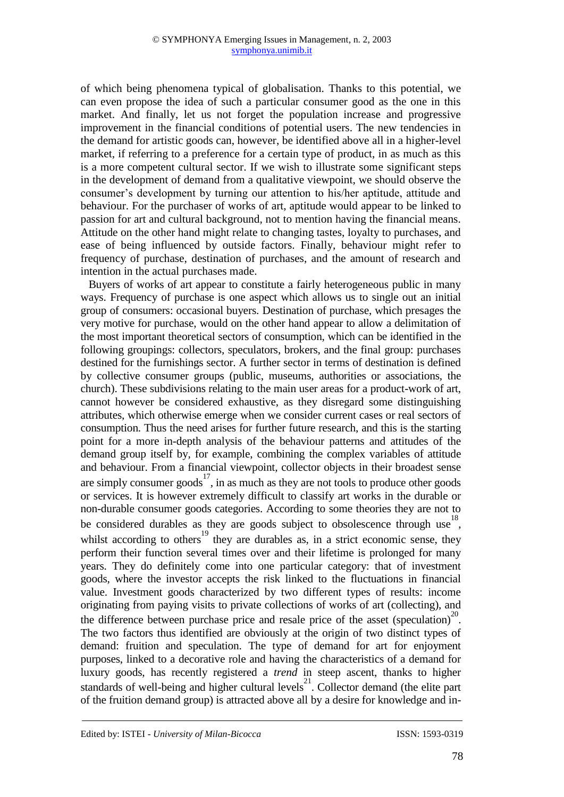of which being phenomena typical of globalisation. Thanks to this potential, we can even propose the idea of such a particular consumer good as the one in this market. And finally, let us not forget the population increase and progressive improvement in the financial conditions of potential users. The new tendencies in the demand for artistic goods can, however, be identified above all in a higher-level market, if referring to a preference for a certain type of product, in as much as this is a more competent cultural sector. If we wish to illustrate some significant steps in the development of demand from a qualitative viewpoint, we should observe the consumer's development by turning our attention to his/her aptitude, attitude and behaviour. For the purchaser of works of art, aptitude would appear to be linked to passion for art and cultural background, not to mention having the financial means. Attitude on the other hand might relate to changing tastes, loyalty to purchases, and ease of being influenced by outside factors. Finally, behaviour might refer to frequency of purchase, destination of purchases, and the amount of research and intention in the actual purchases made.

Buyers of works of art appear to constitute a fairly heterogeneous public in many ways. Frequency of purchase is one aspect which allows us to single out an initial group of consumers: occasional buyers. Destination of purchase, which presages the very motive for purchase, would on the other hand appear to allow a delimitation of the most important theoretical sectors of consumption, which can be identified in the following groupings: collectors, speculators, brokers, and the final group: purchases destined for the furnishings sector. A further sector in terms of destination is defined by collective consumer groups (public, museums, authorities or associations, the church). These subdivisions relating to the main user areas for a product-work of art, cannot however be considered exhaustive, as they disregard some distinguishing attributes, which otherwise emerge when we consider current cases or real sectors of consumption. Thus the need arises for further future research, and this is the starting point for a more in-depth analysis of the behaviour patterns and attitudes of the demand group itself by, for example, combining the complex variables of attitude and behaviour. From a financial viewpoint, collector objects in their broadest sense are simply consumer goods<sup>17</sup>, in as much as they are not tools to produce other goods or services. It is however extremely difficult to classify art works in the durable or non-durable consumer goods categories. According to some theories they are not to be considered durables as they are goods subject to obsolescence through use  $18$ , whilst according to others<sup>19</sup> they are durables as, in a strict economic sense, they perform their function several times over and their lifetime is prolonged for many years. They do definitely come into one particular category: that of investment goods, where the investor accepts the risk linked to the fluctuations in financial value. Investment goods characterized by two different types of results: income originating from paying visits to private collections of works of art (collecting), and the difference between purchase price and resale price of the asset (speculation)<sup>20</sup>. The two factors thus identified are obviously at the origin of two distinct types of demand: fruition and speculation. The type of demand for art for enjoyment purposes, linked to a decorative role and having the characteristics of a demand for luxury goods, has recently registered a *trend* in steep ascent, thanks to higher standards of well-being and higher cultural levels<sup>21</sup>. Collector demand (the elite part of the fruition demand group) is attracted above all by a desire for knowledge and in-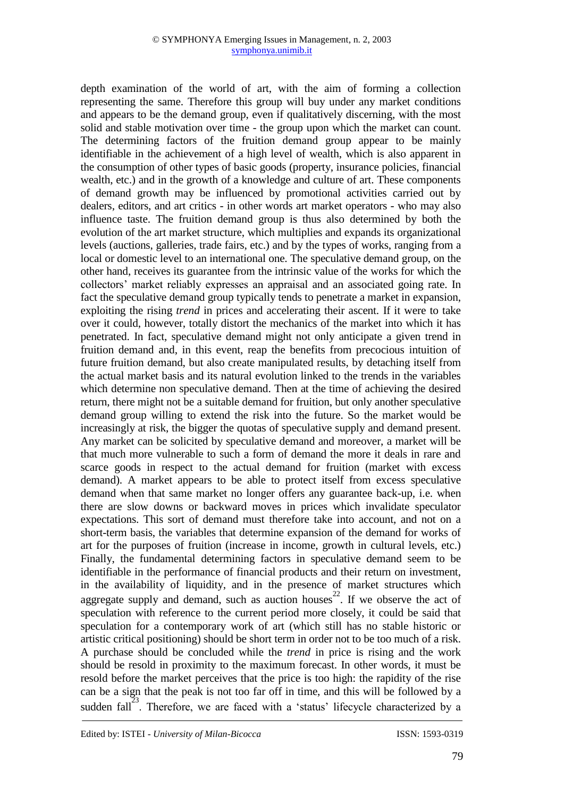depth examination of the world of art, with the aim of forming a collection representing the same. Therefore this group will buy under any market conditions and appears to be the demand group, even if qualitatively discerning, with the most solid and stable motivation over time - the group upon which the market can count. The determining factors of the fruition demand group appear to be mainly identifiable in the achievement of a high level of wealth, which is also apparent in the consumption of other types of basic goods (property, insurance policies, financial wealth, etc.) and in the growth of a knowledge and culture of art. These components of demand growth may be influenced by promotional activities carried out by dealers, editors, and art critics - in other words art market operators - who may also influence taste. The fruition demand group is thus also determined by both the evolution of the art market structure, which multiplies and expands its organizational levels (auctions, galleries, trade fairs, etc.) and by the types of works, ranging from a local or domestic level to an international one. The speculative demand group, on the other hand, receives its guarantee from the intrinsic value of the works for which the collectors' market reliably expresses an appraisal and an associated going rate. In fact the speculative demand group typically tends to penetrate a market in expansion, exploiting the rising *trend* in prices and accelerating their ascent. If it were to take over it could, however, totally distort the mechanics of the market into which it has penetrated. In fact, speculative demand might not only anticipate a given trend in fruition demand and, in this event, reap the benefits from precocious intuition of future fruition demand, but also create manipulated results, by detaching itself from the actual market basis and its natural evolution linked to the trends in the variables which determine non speculative demand. Then at the time of achieving the desired return, there might not be a suitable demand for fruition, but only another speculative demand group willing to extend the risk into the future. So the market would be increasingly at risk, the bigger the quotas of speculative supply and demand present. Any market can be solicited by speculative demand and moreover, a market will be that much more vulnerable to such a form of demand the more it deals in rare and scarce goods in respect to the actual demand for fruition (market with excess demand). A market appears to be able to protect itself from excess speculative demand when that same market no longer offers any guarantee back-up, i.e. when there are slow downs or backward moves in prices which invalidate speculator expectations. This sort of demand must therefore take into account, and not on a short-term basis, the variables that determine expansion of the demand for works of art for the purposes of fruition (increase in income, growth in cultural levels, etc.) Finally, the fundamental determining factors in speculative demand seem to be identifiable in the performance of financial products and their return on investment, in the availability of liquidity, and in the presence of market structures which aggregate supply and demand, such as auction houses<sup>22</sup>. If we observe the act of speculation with reference to the current period more closely, it could be said that speculation for a contemporary work of art (which still has no stable historic or artistic critical positioning) should be short term in order not to be too much of a risk. A purchase should be concluded while the *trend* in price is rising and the work should be resold in proximity to the maximum forecast. In other words, it must be resold before the market perceives that the price is too high: the rapidity of the rise can be a sign that the peak is not too far off in time, and this will be followed by a sudden fall<sup>23</sup>. Therefore, we are faced with a 'status' lifecycle characterized by a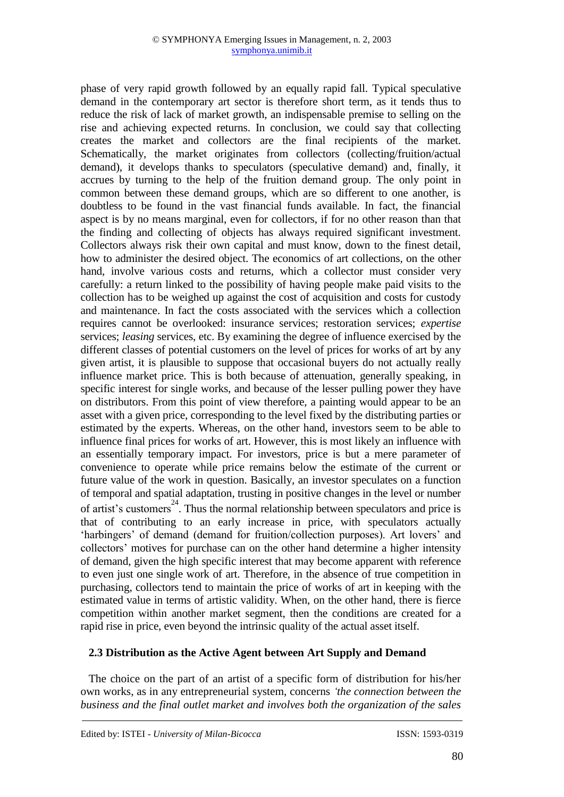phase of very rapid growth followed by an equally rapid fall. Typical speculative demand in the contemporary art sector is therefore short term, as it tends thus to reduce the risk of lack of market growth, an indispensable premise to selling on the rise and achieving expected returns. In conclusion, we could say that collecting creates the market and collectors are the final recipients of the market. Schematically, the market originates from collectors (collecting/fruition/actual demand), it develops thanks to speculators (speculative demand) and, finally, it accrues by turning to the help of the fruition demand group. The only point in common between these demand groups, which are so different to one another, is doubtless to be found in the vast financial funds available. In fact, the financial aspect is by no means marginal, even for collectors, if for no other reason than that the finding and collecting of objects has always required significant investment. Collectors always risk their own capital and must know, down to the finest detail, how to administer the desired object. The economics of art collections, on the other hand, involve various costs and returns, which a collector must consider very carefully: a return linked to the possibility of having people make paid visits to the collection has to be weighed up against the cost of acquisition and costs for custody and maintenance. In fact the costs associated with the services which a collection requires cannot be overlooked: insurance services; restoration services; *expertise*  services; *leasing* services, etc. By examining the degree of influence exercised by the different classes of potential customers on the level of prices for works of art by any given artist, it is plausible to suppose that occasional buyers do not actually really influence market price. This is both because of attenuation, generally speaking, in specific interest for single works, and because of the lesser pulling power they have on distributors. From this point of view therefore, a painting would appear to be an asset with a given price, corresponding to the level fixed by the distributing parties or estimated by the experts. Whereas, on the other hand, investors seem to be able to influence final prices for works of art. However, this is most likely an influence with an essentially temporary impact. For investors, price is but a mere parameter of convenience to operate while price remains below the estimate of the current or future value of the work in question. Basically, an investor speculates on a function of temporal and spatial adaptation, trusting in positive changes in the level or number of artist's customers<sup>24</sup>. Thus the normal relationship between speculators and price is that of contributing to an early increase in price, with speculators actually 'harbingers' of demand (demand for fruition/collection purposes). Art lovers' and collectors' motives for purchase can on the other hand determine a higher intensity of demand, given the high specific interest that may become apparent with reference to even just one single work of art. Therefore, in the absence of true competition in purchasing, collectors tend to maintain the price of works of art in keeping with the estimated value in terms of artistic validity. When, on the other hand, there is fierce competition within another market segment, then the conditions are created for a rapid rise in price, even beyond the intrinsic quality of the actual asset itself.

#### **2.3 Distribution as the Active Agent between Art Supply and Demand**

The choice on the part of an artist of a specific form of distribution for his/her own works, as in any entrepreneurial system, concerns *'the connection between the business and the final outlet market and involves both the organization of the sales*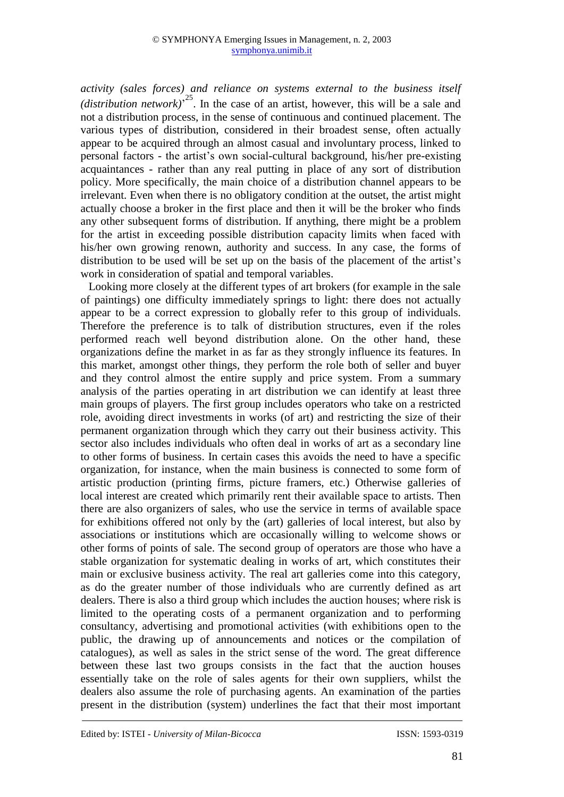*activity (sales forces) and reliance on systems external to the business itself*  (*distribution network*)<sup> $25$ </sup>. In the case of an artist, however, this will be a sale and not a distribution process, in the sense of continuous and continued placement. The various types of distribution, considered in their broadest sense, often actually appear to be acquired through an almost casual and involuntary process, linked to personal factors - the artist's own social-cultural background, his/her pre-existing acquaintances - rather than any real putting in place of any sort of distribution policy. More specifically, the main choice of a distribution channel appears to be irrelevant. Even when there is no obligatory condition at the outset, the artist might actually choose a broker in the first place and then it will be the broker who finds any other subsequent forms of distribution. If anything, there might be a problem for the artist in exceeding possible distribution capacity limits when faced with his/her own growing renown, authority and success. In any case, the forms of distribution to be used will be set up on the basis of the placement of the artist's work in consideration of spatial and temporal variables.

Looking more closely at the different types of art brokers (for example in the sale of paintings) one difficulty immediately springs to light: there does not actually appear to be a correct expression to globally refer to this group of individuals. Therefore the preference is to talk of distribution structures, even if the roles performed reach well beyond distribution alone. On the other hand, these organizations define the market in as far as they strongly influence its features. In this market, amongst other things, they perform the role both of seller and buyer and they control almost the entire supply and price system. From a summary analysis of the parties operating in art distribution we can identify at least three main groups of players. The first group includes operators who take on a restricted role, avoiding direct investments in works (of art) and restricting the size of their permanent organization through which they carry out their business activity. This sector also includes individuals who often deal in works of art as a secondary line to other forms of business. In certain cases this avoids the need to have a specific organization, for instance, when the main business is connected to some form of artistic production (printing firms, picture framers, etc.) Otherwise galleries of local interest are created which primarily rent their available space to artists. Then there are also organizers of sales, who use the service in terms of available space for exhibitions offered not only by the (art) galleries of local interest, but also by associations or institutions which are occasionally willing to welcome shows or other forms of points of sale. The second group of operators are those who have a stable organization for systematic dealing in works of art, which constitutes their main or exclusive business activity. The real art galleries come into this category, as do the greater number of those individuals who are currently defined as art dealers. There is also a third group which includes the auction houses; where risk is limited to the operating costs of a permanent organization and to performing consultancy, advertising and promotional activities (with exhibitions open to the public, the drawing up of announcements and notices or the compilation of catalogues), as well as sales in the strict sense of the word. The great difference between these last two groups consists in the fact that the auction houses essentially take on the role of sales agents for their own suppliers, whilst the dealers also assume the role of purchasing agents. An examination of the parties present in the distribution (system) underlines the fact that their most important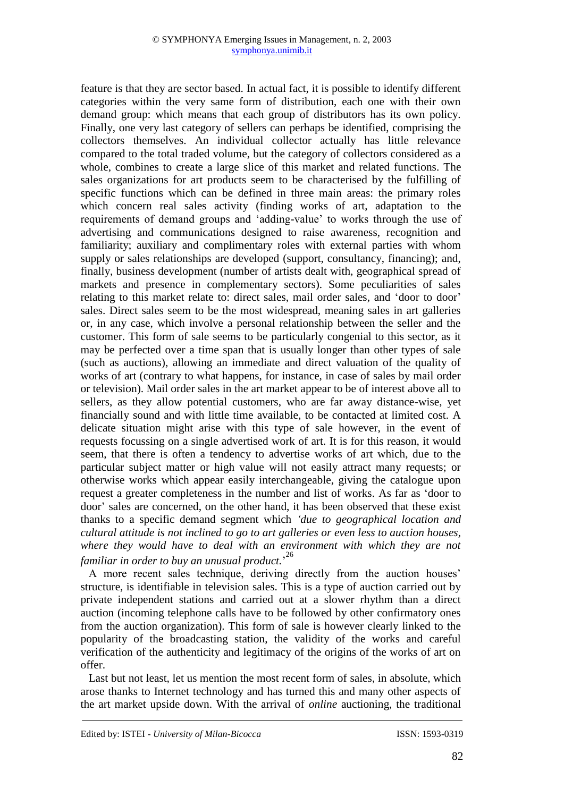feature is that they are sector based. In actual fact, it is possible to identify different categories within the very same form of distribution, each one with their own demand group: which means that each group of distributors has its own policy. Finally, one very last category of sellers can perhaps be identified, comprising the collectors themselves. An individual collector actually has little relevance compared to the total traded volume, but the category of collectors considered as a whole, combines to create a large slice of this market and related functions. The sales organizations for art products seem to be characterised by the fulfilling of specific functions which can be defined in three main areas: the primary roles which concern real sales activity (finding works of art, adaptation to the requirements of demand groups and 'adding-value' to works through the use of advertising and communications designed to raise awareness, recognition and familiarity; auxiliary and complimentary roles with external parties with whom supply or sales relationships are developed (support, consultancy, financing); and, finally, business development (number of artists dealt with, geographical spread of markets and presence in complementary sectors). Some peculiarities of sales relating to this market relate to: direct sales, mail order sales, and 'door to door' sales. Direct sales seem to be the most widespread, meaning sales in art galleries or, in any case, which involve a personal relationship between the seller and the customer. This form of sale seems to be particularly congenial to this sector, as it may be perfected over a time span that is usually longer than other types of sale (such as auctions), allowing an immediate and direct valuation of the quality of works of art (contrary to what happens, for instance, in case of sales by mail order or television). Mail order sales in the art market appear to be of interest above all to sellers, as they allow potential customers, who are far away distance-wise, yet financially sound and with little time available, to be contacted at limited cost. A delicate situation might arise with this type of sale however, in the event of requests focussing on a single advertised work of art. It is for this reason, it would seem, that there is often a tendency to advertise works of art which, due to the particular subject matter or high value will not easily attract many requests; or otherwise works which appear easily interchangeable, giving the catalogue upon request a greater completeness in the number and list of works. As far as 'door to door' sales are concerned, on the other hand, it has been observed that these exist thanks to a specific demand segment which *'due to geographical location and cultural attitude is not inclined to go to art galleries or even less to auction houses, where they would have to deal with an environment with which they are not familiar in order to buy an unusual product.*' 26

A more recent sales technique, deriving directly from the auction houses' structure, is identifiable in television sales. This is a type of auction carried out by private independent stations and carried out at a slower rhythm than a direct auction (incoming telephone calls have to be followed by other confirmatory ones from the auction organization). This form of sale is however clearly linked to the popularity of the broadcasting station, the validity of the works and careful verification of the authenticity and legitimacy of the origins of the works of art on offer.

Last but not least, let us mention the most recent form of sales, in absolute, which arose thanks to Internet technology and has turned this and many other aspects of the art market upside down. With the arrival of *online* auctioning, the traditional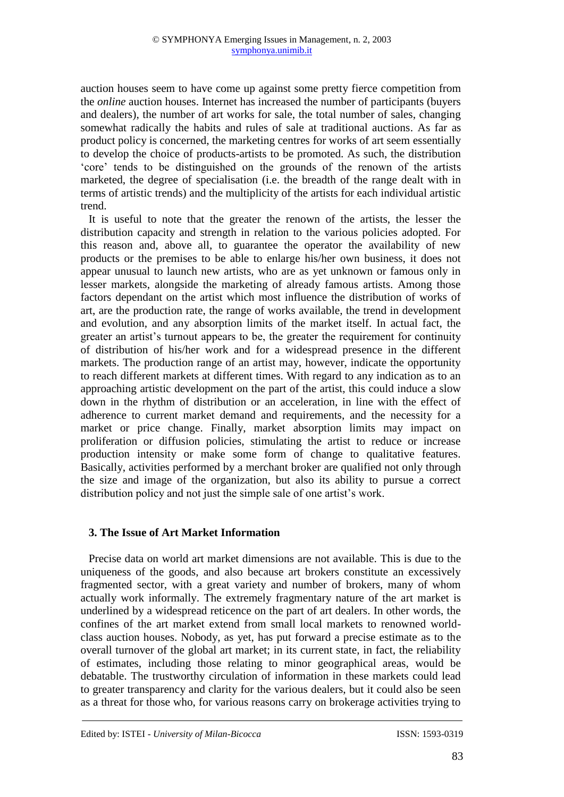auction houses seem to have come up against some pretty fierce competition from the *online* auction houses. Internet has increased the number of participants (buyers and dealers), the number of art works for sale, the total number of sales, changing somewhat radically the habits and rules of sale at traditional auctions. As far as product policy is concerned, the marketing centres for works of art seem essentially to develop the choice of products-artists to be promoted. As such, the distribution 'core' tends to be distinguished on the grounds of the renown of the artists marketed, the degree of specialisation (i.e. the breadth of the range dealt with in terms of artistic trends) and the multiplicity of the artists for each individual artistic trend.

It is useful to note that the greater the renown of the artists, the lesser the distribution capacity and strength in relation to the various policies adopted. For this reason and, above all, to guarantee the operator the availability of new products or the premises to be able to enlarge his/her own business, it does not appear unusual to launch new artists, who are as yet unknown or famous only in lesser markets, alongside the marketing of already famous artists. Among those factors dependant on the artist which most influence the distribution of works of art, are the production rate, the range of works available, the trend in development and evolution, and any absorption limits of the market itself. In actual fact, the greater an artist's turnout appears to be, the greater the requirement for continuity of distribution of his/her work and for a widespread presence in the different markets. The production range of an artist may, however, indicate the opportunity to reach different markets at different times. With regard to any indication as to an approaching artistic development on the part of the artist, this could induce a slow down in the rhythm of distribution or an acceleration, in line with the effect of adherence to current market demand and requirements, and the necessity for a market or price change. Finally, market absorption limits may impact on proliferation or diffusion policies, stimulating the artist to reduce or increase production intensity or make some form of change to qualitative features. Basically, activities performed by a merchant broker are qualified not only through the size and image of the organization, but also its ability to pursue a correct distribution policy and not just the simple sale of one artist's work.

#### **3. The Issue of Art Market Information**

Precise data on world art market dimensions are not available. This is due to the uniqueness of the goods, and also because art brokers constitute an excessively fragmented sector, with a great variety and number of brokers, many of whom actually work informally. The extremely fragmentary nature of the art market is underlined by a widespread reticence on the part of art dealers. In other words, the confines of the art market extend from small local markets to renowned worldclass auction houses. Nobody, as yet, has put forward a precise estimate as to the overall turnover of the global art market; in its current state, in fact, the reliability of estimates, including those relating to minor geographical areas, would be debatable. The trustworthy circulation of information in these markets could lead to greater transparency and clarity for the various dealers, but it could also be seen as a threat for those who, for various reasons carry on brokerage activities trying to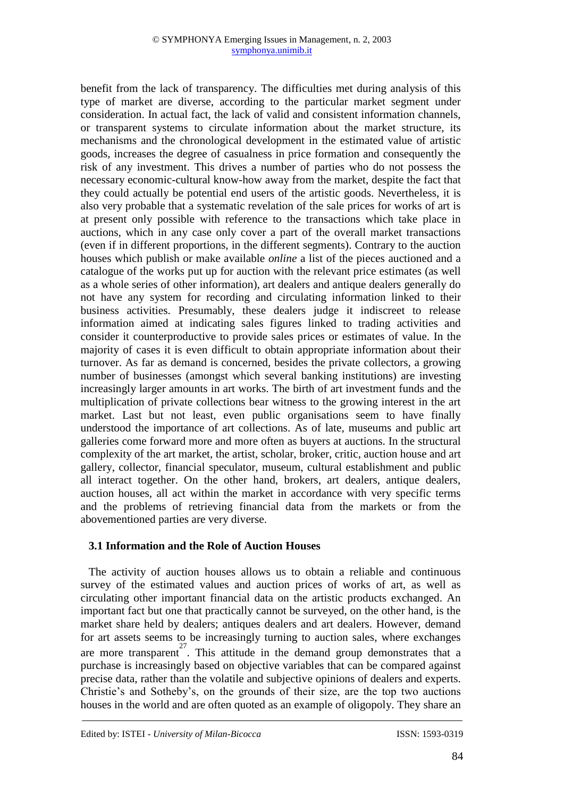benefit from the lack of transparency. The difficulties met during analysis of this type of market are diverse, according to the particular market segment under consideration. In actual fact, the lack of valid and consistent information channels, or transparent systems to circulate information about the market structure, its mechanisms and the chronological development in the estimated value of artistic goods, increases the degree of casualness in price formation and consequently the risk of any investment. This drives a number of parties who do not possess the necessary economic-cultural know-how away from the market, despite the fact that they could actually be potential end users of the artistic goods. Nevertheless, it is also very probable that a systematic revelation of the sale prices for works of art is at present only possible with reference to the transactions which take place in auctions, which in any case only cover a part of the overall market transactions (even if in different proportions, in the different segments). Contrary to the auction houses which publish or make available *online* a list of the pieces auctioned and a catalogue of the works put up for auction with the relevant price estimates (as well as a whole series of other information), art dealers and antique dealers generally do not have any system for recording and circulating information linked to their business activities. Presumably, these dealers judge it indiscreet to release information aimed at indicating sales figures linked to trading activities and consider it counterproductive to provide sales prices or estimates of value. In the majority of cases it is even difficult to obtain appropriate information about their turnover. As far as demand is concerned, besides the private collectors, a growing number of businesses (amongst which several banking institutions) are investing increasingly larger amounts in art works. The birth of art investment funds and the multiplication of private collections bear witness to the growing interest in the art market. Last but not least, even public organisations seem to have finally understood the importance of art collections. As of late, museums and public art galleries come forward more and more often as buyers at auctions. In the structural complexity of the art market, the artist, scholar, broker, critic, auction house and art gallery, collector, financial speculator, museum, cultural establishment and public all interact together. On the other hand, brokers, art dealers, antique dealers, auction houses, all act within the market in accordance with very specific terms and the problems of retrieving financial data from the markets or from the abovementioned parties are very diverse.

#### **3.1 Information and the Role of Auction Houses**

The activity of auction houses allows us to obtain a reliable and continuous survey of the estimated values and auction prices of works of art, as well as circulating other important financial data on the artistic products exchanged. An important fact but one that practically cannot be surveyed, on the other hand, is the market share held by dealers; antiques dealers and art dealers. However, demand for art assets seems to be increasingly turning to auction sales, where exchanges are more transparent <sup>27</sup>. This attitude in the demand group demonstrates that a purchase is increasingly based on objective variables that can be compared against precise data, rather than the volatile and subjective opinions of dealers and experts. Christie's and Sotheby's, on the grounds of their size, are the top two auctions houses in the world and are often quoted as an example of oligopoly. They share an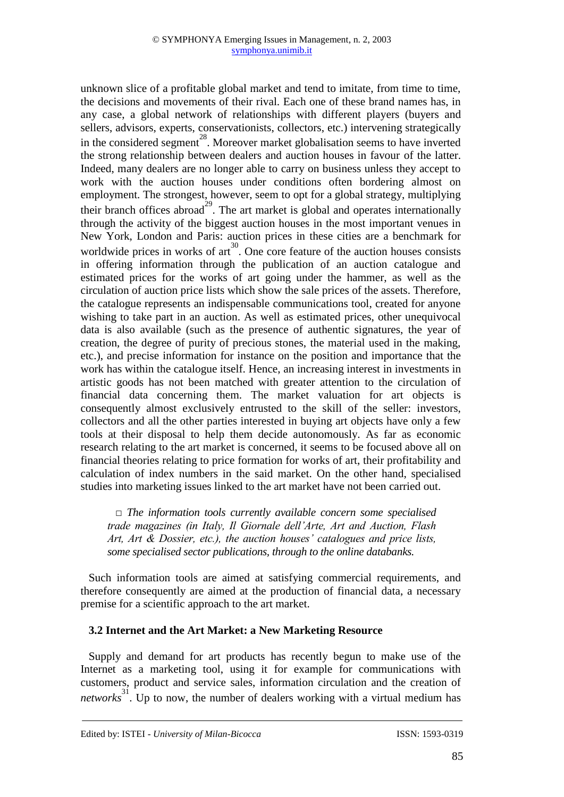unknown slice of a profitable global market and tend to imitate, from time to time, the decisions and movements of their rival. Each one of these brand names has, in any case, a global network of relationships with different players (buyers and sellers, advisors, experts, conservationists, collectors, etc.) intervening strategically in the considered segment<sup>28</sup>. Moreover market globalisation seems to have inverted the strong relationship between dealers and auction houses in favour of the latter. Indeed, many dealers are no longer able to carry on business unless they accept to work with the auction houses under conditions often bordering almost on employment. The strongest, however, seem to opt for a global strategy, multiplying their branch offices abroad<sup>29</sup>. The art market is global and operates internationally through the activity of the biggest auction houses in the most important venues in New York, London and Paris: auction prices in these cities are a benchmark for worldwide prices in works of  $ar<sup>30</sup>$ . One core feature of the auction houses consists in offering information through the publication of an auction catalogue and estimated prices for the works of art going under the hammer, as well as the circulation of auction price lists which show the sale prices of the assets. Therefore, the catalogue represents an indispensable communications tool, created for anyone wishing to take part in an auction. As well as estimated prices, other unequivocal data is also available (such as the presence of authentic signatures, the year of creation, the degree of purity of precious stones, the material used in the making, etc.), and precise information for instance on the position and importance that the work has within the catalogue itself. Hence, an increasing interest in investments in artistic goods has not been matched with greater attention to the circulation of financial data concerning them. The market valuation for art objects is consequently almost exclusively entrusted to the skill of the seller: investors, collectors and all the other parties interested in buying art objects have only a few tools at their disposal to help them decide autonomously. As far as economic research relating to the art market is concerned, it seems to be focused above all on financial theories relating to price formation for works of art, their profitability and calculation of index numbers in the said market. On the other hand, specialised studies into marketing issues linked to the art market have not been carried out.

□ *The information tools currently available concern some specialised trade magazines (in Italy, Il Giornale dell'Arte, Art and Auction, Flash Art, Art & Dossier, etc.), the auction houses' catalogues and price lists, some specialised sector publications, through to the online databanks.* 

Such information tools are aimed at satisfying commercial requirements, and therefore consequently are aimed at the production of financial data, a necessary premise for a scientific approach to the art market.

#### **3.2 Internet and the Art Market: a New Marketing Resource**

Supply and demand for art products has recently begun to make use of the Internet as a marketing tool, using it for example for communications with customers, product and service sales, information circulation and the creation of *networks*<sup>31</sup>. Up to now, the number of dealers working with a virtual medium has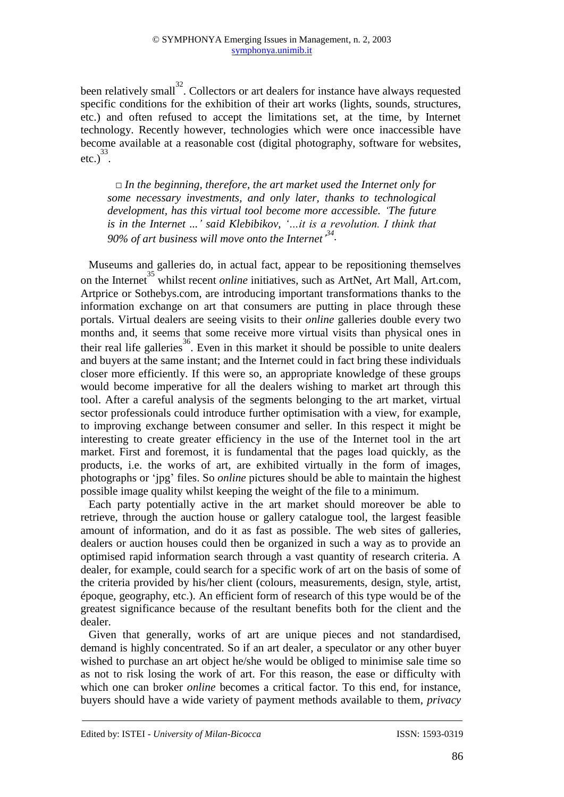been relatively small<sup>32</sup>. Collectors or art dealers for instance have always requested specific conditions for the exhibition of their art works (lights, sounds, structures, etc.) and often refused to accept the limitations set, at the time, by Internet technology. Recently however, technologies which were once inaccessible have become available at a reasonable cost (digital photography, software for websites, etc.) $^{33}$ .

□ *In the beginning, therefore, the art market used the Internet only for some necessary investments, and only later, thanks to technological development, has this virtual tool become more accessible. 'The future is in the Internet ...' said Klebibikov, '…it is a revolution. I think that 90% of art business will move onto the Internet' 34 .*

Museums and galleries do, in actual fact, appear to be repositioning themselves on the Internet<sup>35</sup> whilst recent *online* initiatives, such as ArtNet, Art Mall, Art.com, Artprice or Sothebys.com, are introducing important transformations thanks to the information exchange on art that consumers are putting in place through these portals. Virtual dealers are seeing visits to their *online* galleries double every two months and, it seems that some receive more virtual visits than physical ones in their real life galleries<sup>36</sup>. Even in this market it should be possible to unite dealers and buyers at the same instant; and the Internet could in fact bring these individuals closer more efficiently. If this were so, an appropriate knowledge of these groups would become imperative for all the dealers wishing to market art through this tool. After a careful analysis of the segments belonging to the art market, virtual sector professionals could introduce further optimisation with a view, for example, to improving exchange between consumer and seller. In this respect it might be interesting to create greater efficiency in the use of the Internet tool in the art market. First and foremost, it is fundamental that the pages load quickly, as the products, i.e. the works of art, are exhibited virtually in the form of images, photographs or 'jpg' files. So *online* pictures should be able to maintain the highest possible image quality whilst keeping the weight of the file to a minimum.

Each party potentially active in the art market should moreover be able to retrieve, through the auction house or gallery catalogue tool, the largest feasible amount of information, and do it as fast as possible. The web sites of galleries, dealers or auction houses could then be organized in such a way as to provide an optimised rapid information search through a vast quantity of research criteria. A dealer, for example, could search for a specific work of art on the basis of some of the criteria provided by his/her client (colours, measurements, design, style, artist, époque, geography, etc.). An efficient form of research of this type would be of the greatest significance because of the resultant benefits both for the client and the dealer.

Given that generally, works of art are unique pieces and not standardised, demand is highly concentrated. So if an art dealer, a speculator or any other buyer wished to purchase an art object he/she would be obliged to minimise sale time so as not to risk losing the work of art. For this reason, the ease or difficulty with which one can broker *online* becomes a critical factor. To this end, for instance, buyers should have a wide variety of payment methods available to them, *privacy*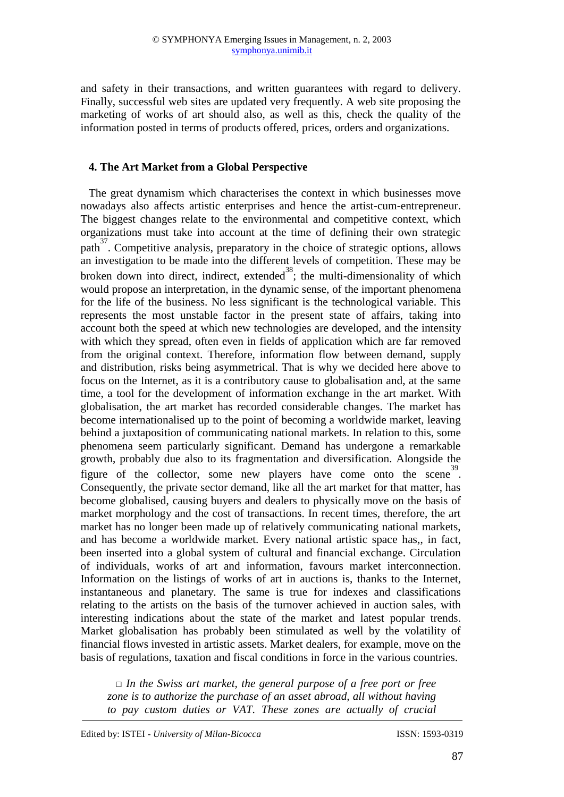and safety in their transactions, and written guarantees with regard to delivery. Finally, successful web sites are updated very frequently. A web site proposing the marketing of works of art should also, as well as this, check the quality of the information posted in terms of products offered, prices, orders and organizations.

#### **4. The Art Market from a Global Perspective**

The great dynamism which characterises the context in which businesses move nowadays also affects artistic enterprises and hence the artist-cum-entrepreneur. The biggest changes relate to the environmental and competitive context, which organizations must take into account at the time of defining their own strategic path<sup>37</sup>. Competitive analysis, preparatory in the choice of strategic options, allows an investigation to be made into the different levels of competition. These may be broken down into direct, indirect, extended  $38$ ; the multi-dimensionality of which would propose an interpretation, in the dynamic sense, of the important phenomena for the life of the business. No less significant is the technological variable. This represents the most unstable factor in the present state of affairs, taking into account both the speed at which new technologies are developed, and the intensity with which they spread, often even in fields of application which are far removed from the original context. Therefore, information flow between demand, supply and distribution, risks being asymmetrical. That is why we decided here above to focus on the Internet, as it is a contributory cause to globalisation and, at the same time, a tool for the development of information exchange in the art market. With globalisation, the art market has recorded considerable changes. The market has become internationalised up to the point of becoming a worldwide market, leaving behind a juxtaposition of communicating national markets. In relation to this, some phenomena seem particularly significant. Demand has undergone a remarkable growth, probably due also to its fragmentation and diversification. Alongside the figure of the collector, some new players have come onto the scene<sup>39</sup>. Consequently, the private sector demand, like all the art market for that matter, has become globalised, causing buyers and dealers to physically move on the basis of market morphology and the cost of transactions. In recent times, therefore, the art market has no longer been made up of relatively communicating national markets, and has become a worldwide market. Every national artistic space has,, in fact, been inserted into a global system of cultural and financial exchange. Circulation of individuals, works of art and information, favours market interconnection. Information on the listings of works of art in auctions is, thanks to the Internet, instantaneous and planetary. The same is true for indexes and classifications relating to the artists on the basis of the turnover achieved in auction sales, with interesting indications about the state of the market and latest popular trends. Market globalisation has probably been stimulated as well by the volatility of financial flows invested in artistic assets. Market dealers, for example, move on the basis of regulations, taxation and fiscal conditions in force in the various countries.

*□ In the Swiss art market, the general purpose of a free port or free zone is to authorize the purchase of an asset abroad, all without having to pay custom duties or VAT. These zones are actually of crucial*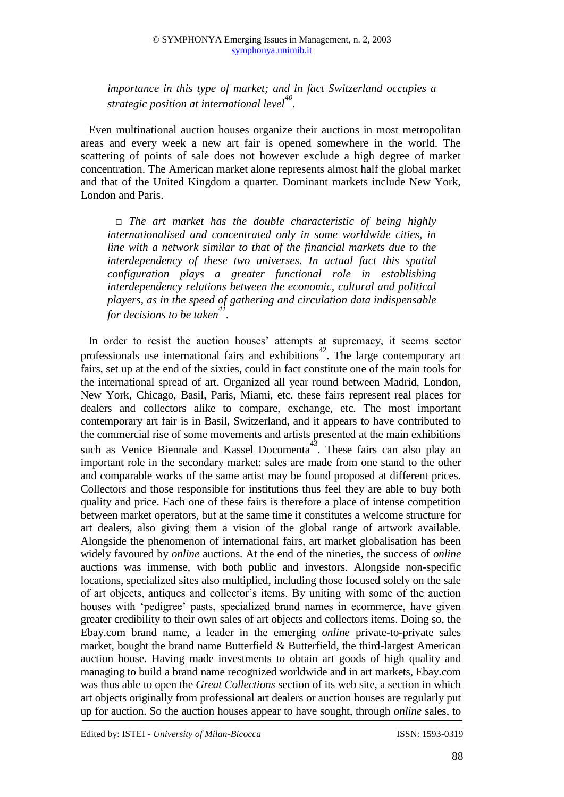*importance in this type of market; and in fact Switzerland occupies a strategic position at international level<sup>40</sup> .*

Even multinational auction houses organize their auctions in most metropolitan areas and every week a new art fair is opened somewhere in the world. The scattering of points of sale does not however exclude a high degree of market concentration. The American market alone represents almost half the global market and that of the United Kingdom a quarter. Dominant markets include New York, London and Paris.

*□ The art market has the double characteristic of being highly internationalised and concentrated only in some worldwide cities, in line with a network similar to that of the financial markets due to the interdependency of these two universes. In actual fact this spatial configuration plays a greater functional role in establishing interdependency relations between the economic, cultural and political players, as in the speed of gathering and circulation data indispensable for decisions to be taken<sup>41</sup> .* 

In order to resist the auction houses' attempts at supremacy, it seems sector professionals use international fairs and exhibitions<sup>42</sup>. The large contemporary art fairs, set up at the end of the sixties, could in fact constitute one of the main tools for the international spread of art. Organized all year round between Madrid, London, New York, Chicago, Basil, Paris, Miami, etc. these fairs represent real places for dealers and collectors alike to compare, exchange, etc. The most important contemporary art fair is in Basil, Switzerland, and it appears to have contributed to the commercial rise of some movements and artists presented at the main exhibitions such as Venice Biennale and Kassel Documenta<sup>43</sup>. These fairs can also play an important role in the secondary market: sales are made from one stand to the other and comparable works of the same artist may be found proposed at different prices. Collectors and those responsible for institutions thus feel they are able to buy both quality and price. Each one of these fairs is therefore a place of intense competition between market operators, but at the same time it constitutes a welcome structure for art dealers, also giving them a vision of the global range of artwork available. Alongside the phenomenon of international fairs, art market globalisation has been widely favoured by *online* auctions. At the end of the nineties, the success of *online* auctions was immense, with both public and investors. Alongside non-specific locations, specialized sites also multiplied, including those focused solely on the sale of art objects, antiques and collector's items. By uniting with some of the auction houses with 'pedigree' pasts, specialized brand names in ecommerce, have given greater credibility to their own sales of art objects and collectors items. Doing so, the Ebay.com brand name, a leader in the emerging *online* private-to-private sales market, bought the brand name Butterfield & Butterfield, the third-largest American auction house. Having made investments to obtain art goods of high quality and managing to build a brand name recognized worldwide and in art markets, Ebay.com was thus able to open the *Great Collections* section of its web site, a section in which art objects originally from professional art dealers or auction houses are regularly put up for auction. So the auction houses appear to have sought, through *online* sales, to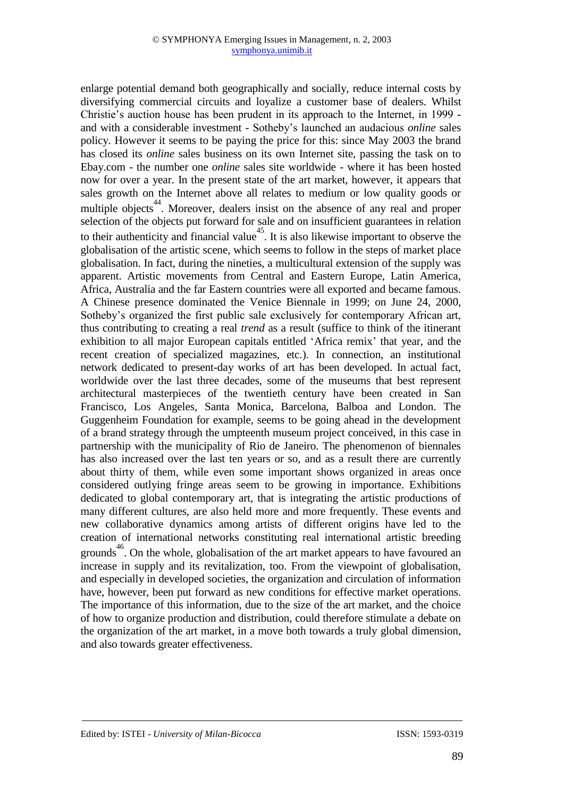enlarge potential demand both geographically and socially, reduce internal costs by diversifying commercial circuits and loyalize a customer base of dealers. Whilst Christie's auction house has been prudent in its approach to the Internet, in 1999 and with a considerable investment - Sotheby's launched an audacious *online* sales policy. However it seems to be paying the price for this: since May 2003 the brand has closed its *online* sales business on its own Internet site, passing the task on to Ebay.com - the number one *online* sales site worldwide - where it has been hosted now for over a year. In the present state of the art market, however, it appears that sales growth on the Internet above all relates to medium or low quality goods or multiple objects<sup>44</sup>. Moreover, dealers insist on the absence of any real and proper selection of the objects put forward for sale and on insufficient guarantees in relation to their authenticity and financial value<sup>45</sup>. It is also likewise important to observe the globalisation of the artistic scene, which seems to follow in the steps of market place globalisation. In fact, during the nineties, a multicultural extension of the supply was apparent. Artistic movements from Central and Eastern Europe, Latin America, Africa, Australia and the far Eastern countries were all exported and became famous. A Chinese presence dominated the Venice Biennale in 1999; on June 24, 2000, Sotheby's organized the first public sale exclusively for contemporary African art, thus contributing to creating a real *trend* as a result (suffice to think of the itinerant exhibition to all major European capitals entitled 'Africa remix' that year, and the recent creation of specialized magazines, etc.). In connection, an institutional network dedicated to present-day works of art has been developed. In actual fact, worldwide over the last three decades, some of the museums that best represent architectural masterpieces of the twentieth century have been created in San Francisco, Los Angeles, Santa Monica, Barcelona, Balboa and London. The Guggenheim Foundation for example, seems to be going ahead in the development of a brand strategy through the umpteenth museum project conceived, in this case in partnership with the municipality of Rio de Janeiro. The phenomenon of biennales has also increased over the last ten years or so, and as a result there are currently about thirty of them, while even some important shows organized in areas once considered outlying fringe areas seem to be growing in importance. Exhibitions dedicated to global contemporary art, that is integrating the artistic productions of many different cultures, are also held more and more frequently. These events and new collaborative dynamics among artists of different origins have led to the creation of international networks constituting real international artistic breeding grounds<sup>46</sup>. On the whole, globalisation of the art market appears to have favoured an increase in supply and its revitalization, too. From the viewpoint of globalisation, and especially in developed societies, the organization and circulation of information have, however, been put forward as new conditions for effective market operations. The importance of this information, due to the size of the art market, and the choice of how to organize production and distribution, could therefore stimulate a debate on the organization of the art market, in a move both towards a truly global dimension, and also towards greater effectiveness.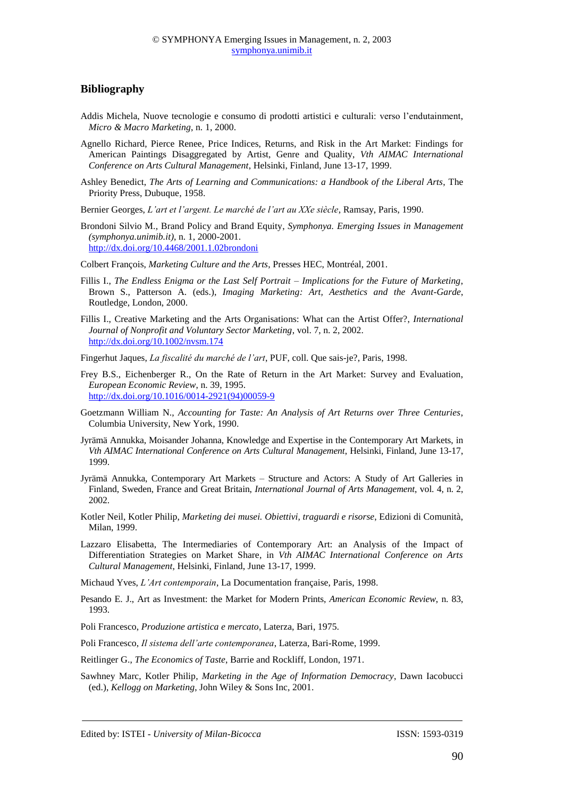#### **Bibliography**

- Addis Michela, Nuove tecnologie e consumo di prodotti artistici e culturali: verso l'endutainment, *Micro & Macro Marketing*, n. 1, 2000.
- Agnello Richard, Pierce Renee, Price Indices, Returns, and Risk in the Art Market: Findings for American Paintings Disaggregated by Artist, Genre and Quality, *Vth AIMAC International Conference on Arts Cultural Management*, Helsinki, Finland, June 13-17, 1999.
- Ashley Benedict, *The Arts of Learning and Communications: a Handbook of the Liberal Arts*, The Priority Press, Dubuque, 1958.
- Bernier Georges, *L'art et l'argent. Le marché de l'art au XXe siècle*, Ramsay, Paris, 1990.
- Brondoni Silvio M., Brand Policy and Brand Equity, *Symphonya. Emerging Issues in Management (symphonya.unimib.it)*, n. 1, 2000-2001. <http://dx.doi.org/10.4468/2001.1.02brondoni>

Colbert François, *Marketing Culture and the Arts*, Presses HEC, Montréal, 2001.

- Fillis I., *The Endless Enigma or the Last Self Portrait – Implications for the Future of Marketing*, Brown S., Patterson A. (eds.), *Imaging Marketing: Art, Aesthetics and the Avant-Garde*, Routledge, London, 2000.
- Fillis I., Creative Marketing and the Arts Organisations: What can the Artist Offer?, *International Journal of Nonprofit and Voluntary Sector Marketing*, vol. 7, n. 2, 2002. [http://dx.doi.org/10.1002/nvsm.174](http://dx.doi.org/10.1002%2Fnvsm.174)

Fingerhut Jaques, *La fiscalité du marché de l'art*, PUF, coll. Que sais-je?, Paris, 1998.

- Frey B.S., Eichenberger R., On the Rate of Return in the Art Market: Survey and Evaluation, *European Economic Review*, n. 39, 1995. [http://dx.doi.org/10.1016/0014-2921\(94\)00059-9](http://dx.doi.org/10.1016%2F0014-2921%2894%2900059-9)
- Goetzmann William N., *Accounting for Taste: An Analysis of Art Returns over Three Centuries*, Columbia University, New York, 1990.
- Jyrämä Annukka, Moisander Johanna, Knowledge and Expertise in the Contemporary Art Markets, in *Vth AIMAC International Conference on Arts Cultural Management*, Helsinki, Finland, June 13-17, 1999.
- Jyrämä Annukka, Contemporary Art Markets Structure and Actors: A Study of Art Galleries in Finland, Sweden, France and Great Britain, *International Journal of Arts Management*, vol. 4, n. 2, 2002.
- Kotler Neil, Kotler Philip, *Marketing dei musei. Obiettivi, traguardi e risorse*, Edizioni di Comunità, Milan, 1999.
- Lazzaro Elisabetta, The Intermediaries of Contemporary Art: an Analysis of the Impact of Differentiation Strategies on Market Share, in *Vth AIMAC International Conference on Arts Cultural Management*, Helsinki, Finland, June 13-17, 1999.

Michaud Yves, *L'Art contemporain*, La Documentation française, Paris, 1998.

- Pesando E. J., Art as Investment: the Market for Modern Prints, *American Economic Review*, n. 83, 1993.
- Poli Francesco, *Produzione artistica e mercato*, Laterza, Bari, 1975.
- Poli Francesco, *Il sistema dell'arte contemporanea*, Laterza, Bari-Rome, 1999.
- Reitlinger G., *The Economics of Taste*, Barrie and Rockliff, London, 1971.
- Sawhney Marc, Kotler Philip, *Marketing in the Age of Information Democracy*, Dawn Iacobucci (ed.), *Kellogg on Marketing*, John Wiley & Sons Inc, 2001.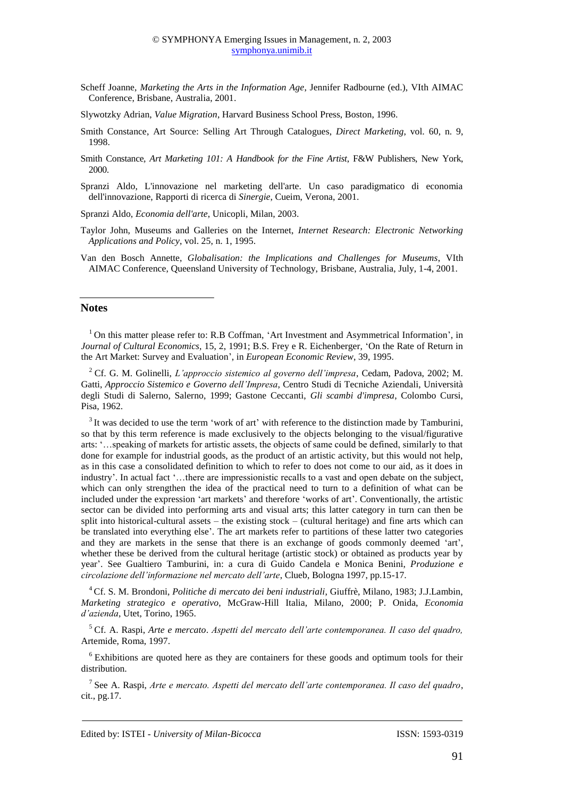- Scheff Joanne, *Marketing the Arts in the Information Age*, Jennifer Radbourne (ed.), VIth AIMAC Conference, Brisbane, Australia, 2001.
- Slywotzky Adrian, *Value Migration*, Harvard Business School Press, Boston, 1996.
- Smith Constance, Art Source: Selling Art Through Catalogues, *Direct Marketing*, vol. 60, n. 9, 1998.
- Smith Constance*, Art Marketing 101: A Handbook for the Fine Artist*, F&W Publishers, New York, 2000.
- Spranzi Aldo, L'innovazione nel marketing dell'arte. Un caso paradigmatico di economia dell'innovazione, Rapporti di ricerca di *Sinergie*, Cueim, Verona, 2001.

Spranzi Aldo, *Economia dell'arte*, Unicopli, Milan, 2003.

- Taylor John, Museums and Galleries on the Internet, *Internet Research: Electronic Networking Applications and Policy*, vol. 25, n. 1, 1995.
- Van den Bosch Annette, *Globalisation: the Implications and Challenges for Museums*, VIth AIMAC Conference, Queensland University of Technology, Brisbane, Australia, July, 1-4, 2001.

#### **Notes**

<sup>1</sup> On this matter please refer to: R.B Coffman, 'Art Investment and Asymmetrical Information', in *Journal of Cultural Economics*, 15, 2, 1991; B.S. Frey e R. Eichenberger, 'On the Rate of Return in the Art Market: Survey and Evaluation', in *European Economic Review*, 39, 1995.

<sup>2</sup>Cf. G. M. Golinelli, *L'approccio sistemico al governo dell'impresa*, Cedam, Padova, 2002; M. Gatti, *Approccio Sistemico e Governo dell'Impresa*, Centro Studi di Tecniche Aziendali, Università degli Studi di Salerno, Salerno, 1999; Gastone Ceccanti, *Gli scambi d'impresa*, Colombo Cursi, Pisa, 1962.

<sup>3</sup> It was decided to use the term 'work of art' with reference to the distinction made by Tamburini, so that by this term reference is made exclusively to the objects belonging to the visual/figurative arts: '…speaking of markets for artistic assets, the objects of same could be defined, similarly to that done for example for industrial goods, as the product of an artistic activity, but this would not help, as in this case a consolidated definition to which to refer to does not come to our aid, as it does in industry'. In actual fact '…there are impressionistic recalls to a vast and open debate on the subject, which can only strengthen the idea of the practical need to turn to a definition of what can be included under the expression 'art markets' and therefore 'works of art'. Conventionally, the artistic sector can be divided into performing arts and visual arts; this latter category in turn can then be split into historical-cultural assets – the existing stock – (cultural heritage) and fine arts which can be translated into everything else'. The art markets refer to partitions of these latter two categories and they are markets in the sense that there is an exchange of goods commonly deemed 'art', whether these be derived from the cultural heritage (artistic stock) or obtained as products year by year'. See Gualtiero Tamburini, in: a cura di Guido Candela e Monica Benini, *Produzione e circolazione dell'informazione nel mercato dell'arte*, Clueb, Bologna 1997, pp.15-17.

<sup>4</sup>Cf. S. M. Brondoni, *Politiche di mercato dei beni industriali*, Giuffrè, Milano, 1983; J.J.Lambin, *Marketing strategico e operativo*, McGraw-Hill Italia, Milano, 2000; P. Onida, *Economia d'azienda*, Utet, Torino, 1965.

<sup>5</sup>Cf. A. Raspi, *Arte e mercato*. *Aspetti del mercato dell'arte contemporanea. Il caso del quadro,*  Artemide, Roma, 1997.

 $6$  Exhibitions are quoted here as they are containers for these goods and optimum tools for their distribution.

<sup>7</sup>See A. Raspi, *Arte e mercato. Aspetti del mercato dell'arte contemporanea. Il caso del quadro*, cit., pg.17.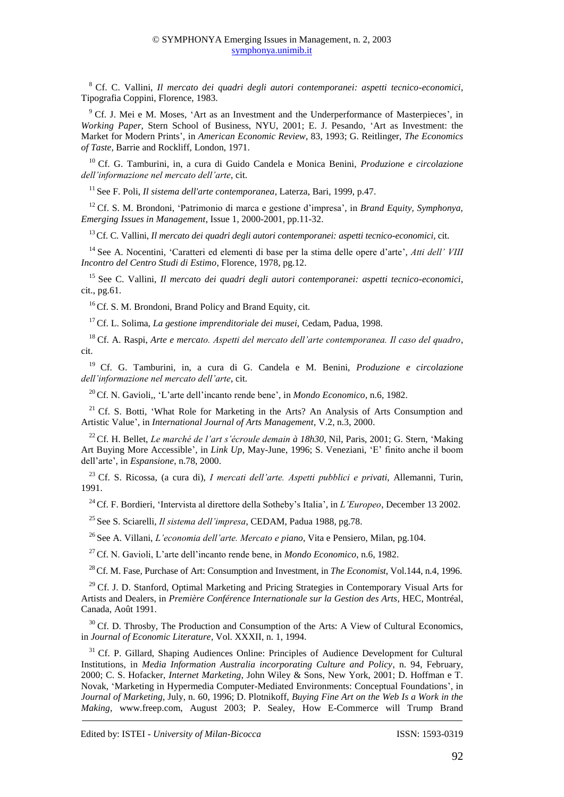<sup>8</sup>Cf. C. Vallini, *Il mercato dei quadri degli autori contemporanei: aspetti tecnico-economici*, Tipografia Coppini, Florence, 1983.

<sup>9</sup> Cf. J. Mei e M. Moses, 'Art as an Investment and the Underperformance of Masterpieces', in *Working Paper*, Stern School of Business, NYU, 2001; E. J. Pesando, 'Art as Investment: the Market for Modern Prints', in *American Economic Review*, 83, 1993; G. Reitlinger, *The Economics of Taste*, Barrie and Rockliff, London, 1971.

<sup>10</sup> Cf. G. Tamburini, in, a cura di Guido Candela e Monica Benini, *Produzione e circolazione dell'informazione nel mercato dell'arte*, cit.

<sup>11</sup> See F. Poli, *Il sistema dell'arte contemporanea*, Laterza, Bari, 1999, p.47.

<sup>12</sup> Cf. S. M. Brondoni, 'Patrimonio di marca e gestione d'impresa', in *Brand Equity, Symphonya*, *Emerging Issues in Management*, Issue 1, 2000-2001, pp.11-32.

<sup>13</sup>Cf. C. Vallini, *Il mercato dei quadri degli autori contemporanei: aspetti tecnico-economici*, cit.

<sup>14</sup>See A. Nocentini, 'Caratteri ed elementi di base per la stima delle opere d'arte', *Atti dell' VIII Incontro del Centro Studi di Estimo*, Florence, 1978, pg.12.

<sup>15</sup>See C. Vallini, *Il mercato dei quadri degli autori contemporanei: aspetti tecnico-economici*, cit., pg.61.

<sup>16</sup> Cf. S. M. Brondoni, Brand Policy and Brand Equity, cit.

<sup>17</sup>Cf. L. Solima, *La gestione imprenditoriale dei musei,* Cedam, Padua, 1998.

<sup>18</sup>Cf. A. Raspi, *Arte e mercato. Aspetti del mercato dell'arte contemporanea. Il caso del quadro*, cit.

<sup>19</sup>Cf. G. Tamburini, in, a cura di G. Candela e M. Benini, *Produzione e circolazione dell'informazione nel mercato dell'arte*, cit.

<sup>20</sup>Cf. N. Gavioli,, 'L'arte dell'incanto rende bene', in *Mondo Economico*, n.6, 1982.

<sup>21</sup> Cf. S. Botti, 'What Role for Marketing in the Arts? An Analysis of Arts Consumption and Artistic Value', in *International Journal of Arts Management*, V.2, n.3, 2000.

<sup>22</sup>Cf. H. Bellet, *Le marché de l'art s'écroule demain à 18h30*, Nil, Paris, 2001; G. Stern, 'Making Art Buying More Accessible', in *Link Up*, May-June, 1996; S. Veneziani, 'E' finito anche il boom dell'arte', in *Espansione*, n.78, 2000.

<sup>23</sup>Cf. S. Ricossa, (a cura di), *I mercati dell'arte. Aspetti pubblici e privati*, Allemanni, Turin, 1991.

<sup>24</sup>Cf. F. Bordieri, 'Intervista al direttore della Sotheby's Italia', in *L'Europeo*, December 13 2002.

<sup>25</sup> See S. Sciarelli, *Il sistema dell'impresa*, CEDAM, Padua 1988, pg.78.

<sup>26</sup>See A. Villani, *L'economia dell'arte. Mercato e piano*, Vita e Pensiero, Milan, pg.104.

<sup>27</sup>Cf. N. Gavioli, L'arte dell'incanto rende bene, in *Mondo Economico*, n.6, 1982.

<sup>28</sup>Cf. M. Fase, Purchase of Art: Consumption and Investment, in *The Economist*, Vol.144, n.4, 1996.

<sup>29</sup> Cf. J. D. Stanford, Optimal Marketing and Pricing Strategies in Contemporary Visual Arts for Artists and Dealers, in *Première Conférence Internationale sur la Gestion des Arts*, HEC, Montréal, Canada, Août 1991.

 $30^{\circ}$  Cf. D. Throsby, The Production and Consumption of the Arts: A View of Cultural Economics, in *Journal of Economic Literature*, Vol. XXXII, n. 1, 1994.

 $31$  Cf. P. Gillard, Shaping Audiences Online: Principles of Audience Development for Cultural Institutions, in *Media Information Australia incorporating Culture and Policy*, n. 94, February, 2000; C. S. Hofacker, *Internet Marketing*, John Wiley & Sons, New York, 2001; D. Hoffman e T. Novak, 'Marketing in Hypermedia Computer-Mediated Environments: Conceptual Foundations', in *Journal of Marketing*, July, n. 60, 1996; D. Plotnikoff, *Buying Fine Art on the Web Is a Work in the Making*, www.freep.com, August 2003; P. Sealey, How E-Commerce will Trump Brand